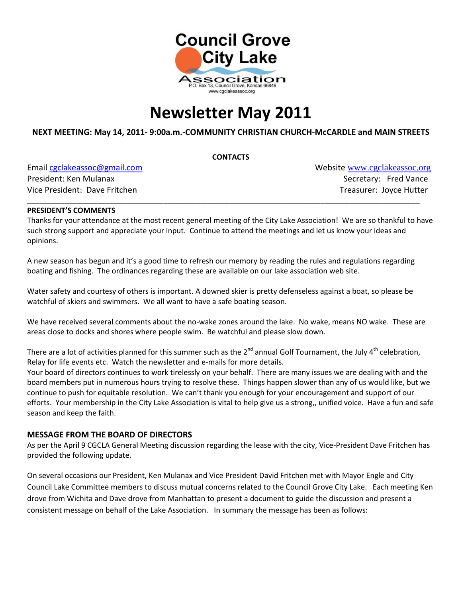

# **Newsletter May 2011**

#### **NEXT MEETING: May 14, 2011- 9:00a.m.-COMMUNITY CHRISTIAN CHURCH-McCARDLE and MAIN STREETS**

**CONTACTS**

Email [cgclakeassoc@gmail.com](mailto:cgclakeassoc@gmail.com) Website [www.cgclakeassoc.org](http://:%20%20www.cgclakeassoc.org%0d) President: Ken Mulanax Secretary: Fred Vance Vice President: Dave Fritchen Treasurer: Joyce Hutter

#### **PRESIDENT'S COMMENTS**

Thanks for your attendance at the most recent general meeting of the City Lake Association! We are so thankful to have such strong support and appreciate your input. Continue to attend the meetings and let us know your ideas and opinions.

\_\_\_\_\_\_\_\_\_\_\_\_\_\_\_\_\_\_\_\_\_\_\_\_\_\_\_\_\_\_\_\_\_\_\_\_\_\_\_\_\_\_\_\_\_\_\_\_\_\_\_\_\_\_\_\_\_\_\_\_\_\_\_\_\_\_\_\_\_\_\_\_\_\_\_\_\_\_\_\_\_\_\_\_\_\_\_\_\_\_\_\_\_\_\_

A new season has begun and it's a good time to refresh our memory by reading the rules and regulations regarding boating and fishing. The ordinances regarding these are available on our lake association web site.

Water safety and courtesy of others is important. A downed skier is pretty defenseless against a boat, so please be watchful of skiers and swimmers. We all want to have a safe boating season.

We have received several comments about the no-wake zones around the lake. No wake, means NO wake. These are areas close to docks and shores where people swim. Be watchful and please slow down.

There are a lot of activities planned for this summer such as the  $2^{nd}$  annual Golf Tournament, the July  $4^{th}$  celebration, Relay for life events etc. Watch the newsletter and e-mails for more details.

Your board of directors continues to work tirelessly on your behalf. There are many issues we are dealing with and the board members put in numerous hours trying to resolve these. Things happen slower than any of us would like, but we continue to push for equitable resolution. We can't thank you enough for your encouragement and support of our efforts. Your membership in the City Lake Association is vital to help give us a strong,, unified voice. Have a fun and safe season and keep the faith.

#### **MESSAGE FROM THE BOARD OF DIRECTORS**

As per the April 9 CGCLA General Meeting discussion regarding the lease with the city, Vice-President Dave Fritchen has provided the following update.

On several occasions our President, Ken Mulanax and Vice President David Fritchen met with Mayor Engle and City Council Lake Committee members to discuss mutual concerns related to the Council Grove City Lake. Each meeting Ken drove from Wichita and Dave drove from Manhattan to present a document to guide the discussion and present a consistent message on behalf of the Lake Association. In summary the message has been as follows: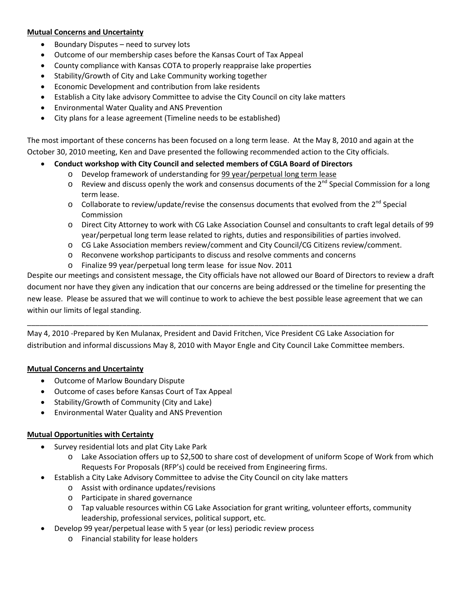#### **Mutual Concerns and Uncertainty**

- Boundary Disputes need to survey lots
- Outcome of our membership cases before the Kansas Court of Tax Appeal
- County compliance with Kansas COTA to properly reappraise lake properties
- Stability/Growth of City and Lake Community working together
- Economic Development and contribution from lake residents
- Establish a City lake advisory Committee to advise the City Council on city lake matters
- Environmental Water Quality and ANS Prevention
- City plans for a lease agreement (Timeline needs to be established)

The most important of these concerns has been focused on a long term lease. At the May 8, 2010 and again at the October 30, 2010 meeting, Ken and Dave presented the following recommended action to the City officials.

- **Conduct workshop with City Council and selected members of CGLA Board of Directors**
	- o Develop framework of understanding for 99 year/perpetual long term lease
	- $\circ$  Review and discuss openly the work and consensus documents of the 2<sup>nd</sup> Special Commission for a long term lease.
	- $\circ$  Collaborate to review/update/revise the consensus documents that evolved from the 2<sup>nd</sup> Special Commission
	- o Direct City Attorney to work with CG Lake Association Counsel and consultants to craft legal details of 99 year/perpetual long term lease related to rights, duties and responsibilities of parties involved.
	- o CG Lake Association members review/comment and City Council/CG Citizens review/comment.
	- o Reconvene workshop participants to discuss and resolve comments and concerns
	- o Finalize 99 year/perpetual long term lease for issue Nov. 2011

Despite our meetings and consistent message, the City officials have not allowed our Board of Directors to review a draft document nor have they given any indication that our concerns are being addressed or the timeline for presenting the new lease. Please be assured that we will continue to work to achieve the best possible lease agreement that we can within our limits of legal standing.

\_\_\_\_\_\_\_\_\_\_\_\_\_\_\_\_\_\_\_\_\_\_\_\_\_\_\_\_\_\_\_\_\_\_\_\_\_\_\_\_\_\_\_\_\_\_\_\_\_\_\_\_\_\_\_\_\_\_\_\_\_\_\_\_\_\_\_\_\_\_\_\_\_\_\_\_\_\_\_\_\_\_\_\_\_\_\_\_\_\_\_\_\_\_\_\_\_

May 4, 2010 -Prepared by Ken Mulanax, President and David Fritchen, Vice President CG Lake Association for distribution and informal discussions May 8, 2010 with Mayor Engle and City Council Lake Committee members.

#### **Mutual Concerns and Uncertainty**

- Outcome of Marlow Boundary Dispute
- Outcome of cases before Kansas Court of Tax Appeal
- Stability/Growth of Community (City and Lake)
- Environmental Water Quality and ANS Prevention

#### **Mutual Opportunities with Certainty**

- Survey residential lots and plat City Lake Park
	- o Lake Association offers up to \$2,500 to share cost of development of uniform Scope of Work from which Requests For Proposals (RFP's) could be received from Engineering firms.
- Establish a City Lake Advisory Committee to advise the City Council on city lake matters
	- o Assist with ordinance updates/revisions
	- o Participate in shared governance
	- o Tap valuable resources within CG Lake Association for grant writing, volunteer efforts, community leadership, professional services, political support, etc.
- Develop 99 year/perpetual lease with 5 year (or less) periodic review process
	- o Financial stability for lease holders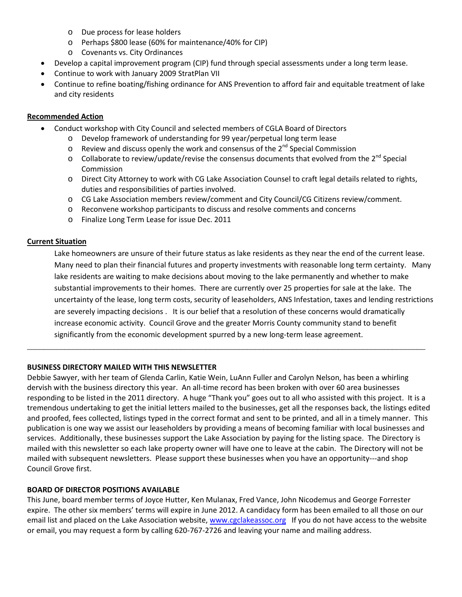- o Due process for lease holders
- o Perhaps \$800 lease (60% for maintenance/40% for CIP)
- o Covenants vs. City Ordinances
- Develop a capital improvement program (CIP) fund through special assessments under a long term lease.
- Continue to work with January 2009 StratPlan VII
- Continue to refine boating/fishing ordinance for ANS Prevention to afford fair and equitable treatment of lake and city residents

#### **Recommended Action**

- Conduct workshop with City Council and selected members of CGLA Board of Directors
	- o Develop framework of understanding for 99 year/perpetual long term lease
	- $\circ$  Review and discuss openly the work and consensus of the 2<sup>nd</sup> Special Commission
	- $\circ$  Collaborate to review/update/revise the consensus documents that evolved from the 2<sup>nd</sup> Special Commission
	- o Direct City Attorney to work with CG Lake Association Counsel to craft legal details related to rights, duties and responsibilities of parties involved.
	- o CG Lake Association members review/comment and City Council/CG Citizens review/comment.
	- o Reconvene workshop participants to discuss and resolve comments and concerns
	- o Finalize Long Term Lease for issue Dec. 2011

#### **Current Situation**

Lake homeowners are unsure of their future status as lake residents as they near the end of the current lease. Many need to plan their financial futures and property investments with reasonable long term certainty. Many lake residents are waiting to make decisions about moving to the lake permanently and whether to make substantial improvements to their homes. There are currently over 25 properties for sale at the lake. The uncertainty of the lease, long term costs, security of leaseholders, ANS Infestation, taxes and lending restrictions are severely impacting decisions . It is our belief that a resolution of these concerns would dramatically increase economic activity. Council Grove and the greater Morris County community stand to benefit significantly from the economic development spurred by a new long-term lease agreement.

#### **BUSINESS DIRECTORY MAILED WITH THIS NEWSLETTER**

Debbie Sawyer, with her team of Glenda Carlin, Katie Wein, LuAnn Fuller and Carolyn Nelson, has been a whirling dervish with the business directory this year. An all-time record has been broken with over 60 area businesses responding to be listed in the 2011 directory. A huge "Thank you" goes out to all who assisted with this project. It is a tremendous undertaking to get the initial letters mailed to the businesses, get all the responses back, the listings edited and proofed, fees collected, listings typed in the correct format and sent to be printed, and all in a timely manner. This publication is one way we assist our leaseholders by providing a means of becoming familiar with local businesses and services. Additionally, these businesses support the Lake Association by paying for the listing space. The Directory is mailed with this newsletter so each lake property owner will have one to leave at the cabin. The Directory will not be mailed with subsequent newsletters. Please support these businesses when you have an opportunity---and shop Council Grove first.

\_\_\_\_\_\_\_\_\_\_\_\_\_\_\_\_\_\_\_\_\_\_\_\_\_\_\_\_\_\_\_\_\_\_\_\_\_\_\_\_\_\_\_\_\_\_\_\_\_\_\_\_\_\_\_\_\_\_\_\_\_\_\_\_\_\_\_\_\_\_\_\_\_\_\_\_\_\_\_\_\_\_\_\_\_\_\_\_\_\_\_\_\_\_\_\_

#### **BOARD OF DIRECTOR POSITIONS AVAILABLE**

This June, board member terms of Joyce Hutter, Ken Mulanax, Fred Vance, John Nicodemus and George Forrester expire. The other six members' terms will expire in June 2012. A candidacy form has been emailed to all those on our email list and placed on the Lake Association website, [www.cgclakeassoc.org](http://www.cgclakeassoc.org/) If you do not have access to the website or email, you may request a form by calling 620-767-2726 and leaving your name and mailing address.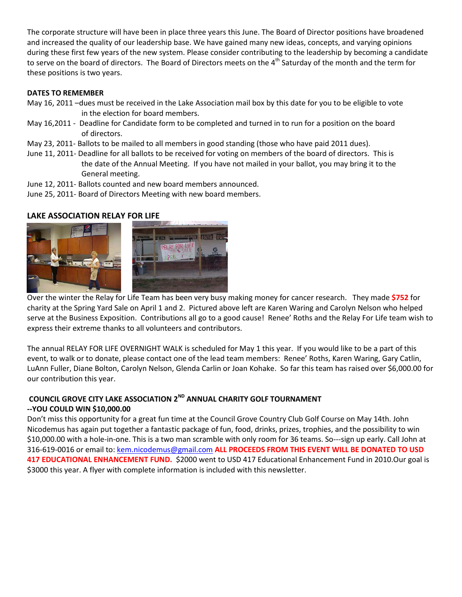The corporate structure will have been in place three years this June. The Board of Director positions have broadened and increased the quality of our leadership base. We have gained many new ideas, concepts, and varying opinions during these first few years of the new system. Please consider contributing to the leadership by becoming a candidate to serve on the board of directors. The Board of Directors meets on the 4<sup>th</sup> Saturday of the month and the term for these positions is two years.

#### **DATES TO REMEMBER**

- May 16, 2011 –dues must be received in the Lake Association mail box by this date for you to be eligible to vote in the election for board members.
- May 16,2011 Deadline for Candidate form to be completed and turned in to run for a position on the board of directors.
- May 23, 2011- Ballots to be mailed to all members in good standing (those who have paid 2011 dues).
- June 11, 2011- Deadline for all ballots to be received for voting on members of the board of directors. This is the date of the Annual Meeting. If you have not mailed in your ballot, you may bring it to the General meeting.
- June 12, 2011- Ballots counted and new board members announced.
- June 25, 2011- Board of Directors Meeting with new board members.

#### **LAKE ASSOCIATION RELAY FOR LIFE**



Over the winter the Relay for Life Team has been very busy making money for cancer research. They made **\$752** for charity at the Spring Yard Sale on April 1 and 2. Pictured above left are Karen Waring and Carolyn Nelson who helped serve at the Business Exposition. Contributions all go to a good cause! Renee' Roths and the Relay For Life team wish to express their extreme thanks to all volunteers and contributors.

The annual RELAY FOR LIFE OVERNIGHT WALK is scheduled for May 1 this year. If you would like to be a part of this event, to walk or to donate, please contact one of the lead team members: Renee' Roths, Karen Waring, Gary Catlin, LuAnn Fuller, Diane Bolton, Carolyn Nelson, Glenda Carlin or Joan Kohake. So far this team has raised over \$6,000.00 for our contribution this year.

#### **COUNCIL GROVE CITY LAKE ASSOCIATION 2ND ANNUAL CHARITY GOLF TOURNAMENT --YOU COULD WIN \$10,000.00**

Don't miss this opportunity for a great fun time at the Council Grove Country Club Golf Course on May 14th. John Nicodemus has again put together a fantastic package of fun, food, drinks, prizes, trophies, and the possibility to win \$10,000.00 with a hole-in-one. This is a two man scramble with only room for 36 teams. So---sign up early. Call John at 316-619-0016 or email to: [kem.nicodemus@gmail.com](mailto:kem.nicodemus@gmail.com) **ALL PROCEEDS FROM THIS EVENT WILL BE DONATED TO USD 417 EDUCATIONAL ENHANCEMENT FUND.** \$2000 went to USD 417 Educational Enhancement Fund in 2010.Our goal is \$3000 this year. A flyer with complete information is included with this newsletter.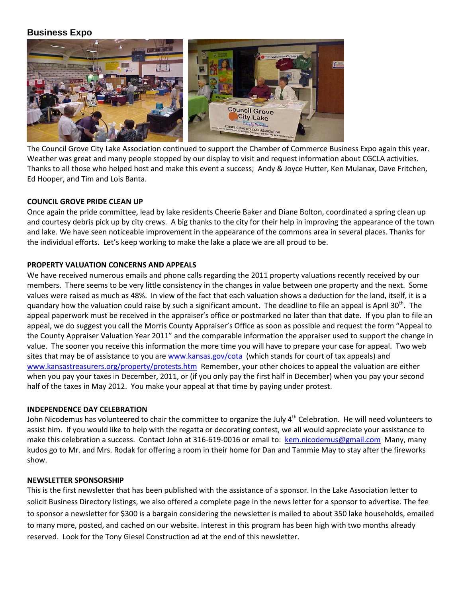#### **Business Expo**



The Council Grove City Lake Association continued to support the Chamber of Commerce Business Expo again this year. Weather was great and many people stopped by our display to visit and request information about CGCLA activities. Thanks to all those who helped host and make this event a success; Andy & Joyce Hutter, Ken Mulanax, Dave Fritchen, Ed Hooper, and Tim and Lois Banta.

#### **COUNCIL GROVE PRIDE CLEAN UP**

Once again the pride committee, lead by lake residents Cheerie Baker and Diane Bolton, coordinated a spring clean up and courtesy debris pick up by city crews. A big thanks to the city for their help in improving the appearance of the town and lake. We have seen noticeable improvement in the appearance of the commons area in several places. Thanks for the individual efforts. Let's keep working to make the lake a place we are all proud to be.

#### **PROPERTY VALUATION CONCERNS AND APPEALS**

We have received numerous emails and phone calls regarding the 2011 property valuations recently received by our members. There seems to be very little consistency in the changes in value between one property and the next. Some values were raised as much as 48%. In view of the fact that each valuation shows a deduction for the land, itself, it is a quandary how the valuation could raise by such a significant amount. The deadline to file an appeal is April 30<sup>th</sup>. The appeal paperwork must be received in the appraiser's office or postmarked no later than that date. If you plan to file an appeal, we do suggest you call the Morris County Appraiser's Office as soon as possible and request the form "Appeal to the County Appraiser Valuation Year 2011" and the comparable information the appraiser used to support the change in value. The sooner you receive this information the more time you will have to prepare your case for appeal. Two web sites that may be of assistance to you are [www.kansas.gov/cota](http://www.kansas.gov/cota) (which stands for court of tax appeals) and [www.kansastreasurers.org/property/protests.htm](http://www.kansastreasurers.org/property/protests.htm) Remember, your other choices to appeal the valuation are either when you pay your taxes in December, 2011, or (if you only pay the first half in December) when you pay your second half of the taxes in May 2012. You make your appeal at that time by paying under protest.

#### **INDEPENDENCE DAY CELEBRATION**

John Nicodemus has volunteered to chair the committee to organize the July 4<sup>th</sup> Celebration. He will need volunteers to assist him. If you would like to help with the regatta or decorating contest, we all would appreciate your assistance to make this celebration a success. Contact John at 316-619-0016 or email to: [kem.nicodemus@gmail.com](mailto:kem.nicodemus@gmail.com) Many, many kudos go to Mr. and Mrs. Rodak for offering a room in their home for Dan and Tammie May to stay after the fireworks show.

#### **NEWSLETTER SPONSORSHIP**

This is the first newsletter that has been published with the assistance of a sponsor. In the Lake Association letter to solicit Business Directory listings, we also offered a complete page in the news letter for a sponsor to advertise. The fee to sponsor a newsletter for \$300 is a bargain considering the newsletter is mailed to about 350 lake households, emailed to many more, posted, and cached on our website. Interest in this program has been high with two months already reserved. Look for the Tony Giesel Construction ad at the end of this newsletter.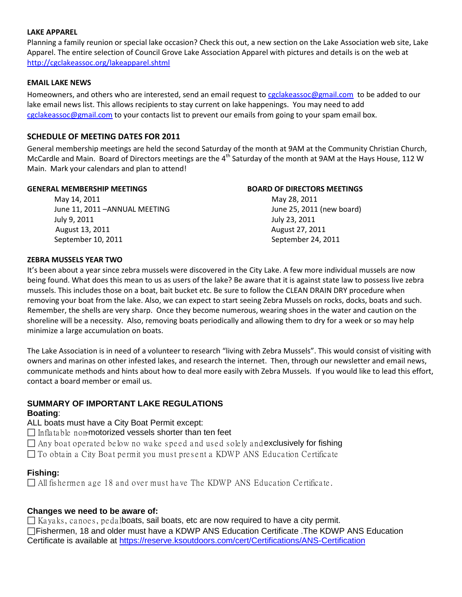#### **LAKE APPAREL**

Planning a family reunion or special lake occasion? Check this out, a new section on the Lake Association web site, Lake Apparel. The entire selection of Council Grove Lake Association Apparel with pictures and details is on the web at <http://cgclakeassoc.org/lakeapparel.shtml>

#### **EMAIL LAKE NEWS**

Homeowners, and others who are interested, send an email request to [cgclakeassoc@gmail.com](mailto:cgclakeassoc@gmail.com) to be added to our lake email news list. This allows recipients to stay current on lake happenings. You may need to add [cgclakeassoc@gmail.com](mailto:cgclakeassoc@gmail.com) to your contacts list to prevent our emails from going to your spam email box.

#### **SCHEDULE OF MEETING DATES FOR 2011**

General membership meetings are held the second Saturday of the month at 9AM at the Community Christian Church, McCardle and Main. Board of Directors meetings are the 4<sup>th</sup> Saturday of the month at 9AM at the Hays House, 112 W Main. Mark your calendars and plan to attend!

#### **GENERAL MEMBERSHIP MEETINGS BOARD OF DIRECTORS MEETINGS**

May 14, 2011 **May 14, 2011** May 28, 2011 June 11, 2011 -ANNUAL MEETING **First Contract Contract Contract Contract** June 25, 2011 (new board) July 9, 2011 July 23, 2011 August 13, 2011 August 27, 2011 September 10, 2011 September 24, 2011

#### **ZEBRA MUSSELS YEAR TWO**

It's been about a year since zebra mussels were discovered in the City Lake. A few more individual mussels are now being found. What does this mean to us as users of the lake? Be aware that it is against state law to possess live zebra mussels. This includes those on a boat, bait bucket etc. Be sure to follow the CLEAN DRAIN DRY procedure when removing your boat from the lake. Also, we can expect to start seeing Zebra Mussels on rocks, docks, boats and such. Remember, the shells are very sharp. Once they become numerous, wearing shoes in the water and caution on the shoreline will be a necessity. Also, removing boats periodically and allowing them to dry for a week or so may help minimize a large accumulation on boats.

The Lake Association is in need of a volunteer to research "living with Zebra Mussels". This would consist of visiting with owners and marinas on other infested lakes, and research the internet. Then, through our newsletter and email news, communicate methods and hints about how to deal more easily with Zebra Mussels. If you would like to lead this effort, contact a board member or email us.

#### **SUMMARY OF IMPORTANT LAKE REGULATIONS**

#### **Boating**:

ALL boats must have a City Boat Permit except:

 $\Box$  Inflatable non-motorized vessels shorter than ten feet

 $\Box$  Any boat operated below no wake speed and used solely and exclusively for fishing

 $\Box$  To obtain a City Boat permit you must present a KDWP ANS Education Certificate

#### **Fishing:**

 $\Box$  All fishermen age 18 and over must have The KDWP ANS Education Certificate.

#### **Changes we need to be aware of:**

 $\Box$  Kayaks, canoes, pedalboats, sail boats, etc are now required to have a city permit. Fishermen, 18 and older must have a KDWP ANS Education Certificate .The KDWP ANS Education Certificate is available at<https://reserve.ksoutdoors.com/cert/Certifications/ANS-Certification>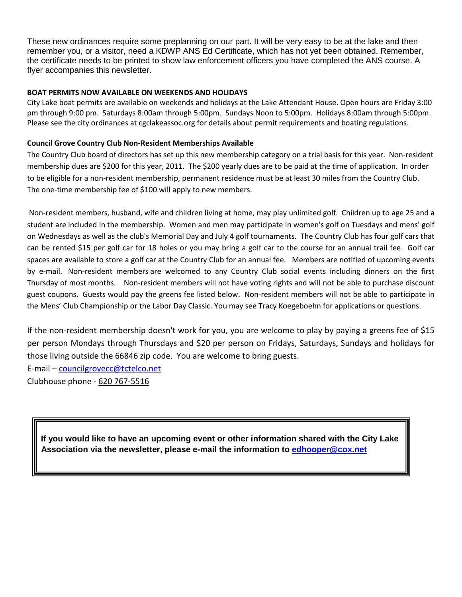These new ordinances require some preplanning on our part. It will be very easy to be at the lake and then remember you, or a visitor, need a KDWP ANS Ed Certificate, which has not yet been obtained. Remember, the certificate needs to be printed to show law enforcement officers you have completed the ANS course. A flyer accompanies this newsletter.

#### **BOAT PERMITS NOW AVAILABLE ON WEEKENDS AND HOLIDAYS**

City Lake boat permits are available on weekends and holidays at the Lake Attendant House. Open hours are Friday 3:00 pm through 9:00 pm. Saturdays 8:00am through 5:00pm. Sundays Noon to 5:00pm. Holidays 8:00am through 5:00pm. Please see the city ordinances at cgclakeassoc.org for details about permit requirements and boating regulations.

#### **Council Grove Country Club Non-Resident Memberships Available**

The Country Club board of directors has set up this new membership category on a trial basis for this year. Non-resident membership dues are \$200 for this year, 2011. The \$200 yearly dues are to be paid at the time of application. In order to be eligible for a non-resident membership, permanent residence must be at least 30 miles from the Country Club. The one-time membership fee of \$100 will apply to new members.

Non-resident members, husband, wife and children living at home, may play unlimited golf. Children up to age 25 and a student are included in the membership. Women and men may participate in women's golf on Tuesdays and mens' golf on Wednesdays as well as the club's Memorial Day and July 4 golf tournaments. The Country Club has four golf cars that can be rented \$15 per golf car for 18 holes or you may bring a golf car to the course for an annual trail fee. Golf car spaces are available to store a golf car at the Country Club for an annual fee. Members are notified of upcoming events by e-mail. Non-resident members are welcomed to any Country Club social events including dinners on the first Thursday of most months. Non-resident members will not have voting rights and will not be able to purchase discount guest coupons. Guests would pay the greens fee listed below. Non-resident members will not be able to participate in the Mens' Club Championship or the Labor Day Classic. You may see Tracy Koegeboehn for applications or questions.

If the non-resident membership doesn't work for you, you are welcome to play by paying a greens fee of \$15 per person Mondays through Thursdays and \$20 per person on Fridays, Saturdays, Sundays and holidays for those living outside the 66846 zip code. You are welcome to bring guests.

E-mail – [councilgrovecc@tctelco.net](mailto:councilgrovecc@tctelco.net)

Clubhouse phone - [620 767-5516](tel:620%20767-5516)

 **If you would like to have an upcoming event or other information shared with the City Lake Association via the newsletter, please e-mail the information to [edhooper@cox.net](mailto:edhooper@cox.net)**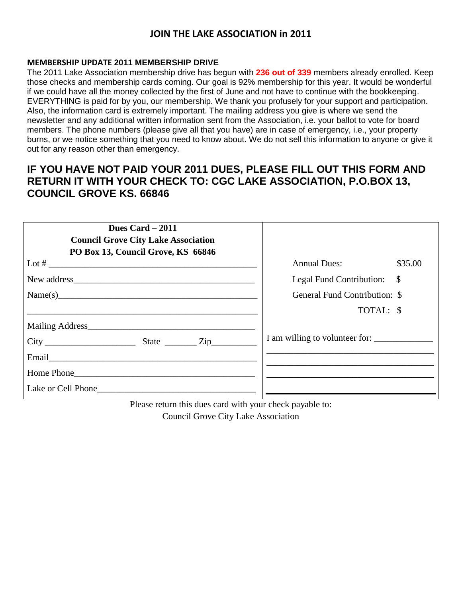#### **JOIN THE LAKE ASSOCIATION in 2011**

#### **MEMBERSHIP UPDATE 2011 MEMBERSHIP DRIVE**

The 2011 Lake Association membership drive has begun with **236 out of 339** members already enrolled. Keep those checks and membership cards coming. Our goal is 92% membership for this year. It would be wonderful if we could have all the money collected by the first of June and not have to continue with the bookkeeping. EVERYTHING is paid for by you, our membership. We thank you profusely for your support and participation. Also, the information card is extremely important. The mailing address you give is where we send the newsletter and any additional written information sent from the Association, i.e. your ballot to vote for board members. The phone numbers (please give all that you have) are in case of emergency, i.e., your property burns, or we notice something that you need to know about. We do not sell this information to anyone or give it out for any reason other than emergency.

### **IF YOU HAVE NOT PAID YOUR 2011 DUES, PLEASE FILL OUT THIS FORM AND RETURN IT WITH YOUR CHECK TO: CGC LAKE ASSOCIATION, P.O.BOX 13, COUNCIL GROVE KS. 66846**

| Dues Card $-2011$<br><b>Council Grove City Lake Association</b><br>PO Box 13, Council Grove, KS 66846 |                                |               |
|-------------------------------------------------------------------------------------------------------|--------------------------------|---------------|
| Lot # $\overline{\phantom{a}}$                                                                        | <b>Annual Dues:</b>            | \$35.00       |
|                                                                                                       | Legal Fund Contribution:       | $\mathcal{S}$ |
| Name(s)                                                                                               | General Fund Contribution: \$  |               |
|                                                                                                       | TOTAL: \$                      |               |
|                                                                                                       |                                |               |
|                                                                                                       | I am willing to volunteer for: |               |
|                                                                                                       |                                |               |
| Home Phone                                                                                            |                                |               |
|                                                                                                       |                                |               |

Please return this dues card with your check payable to: Council Grove City Lake Association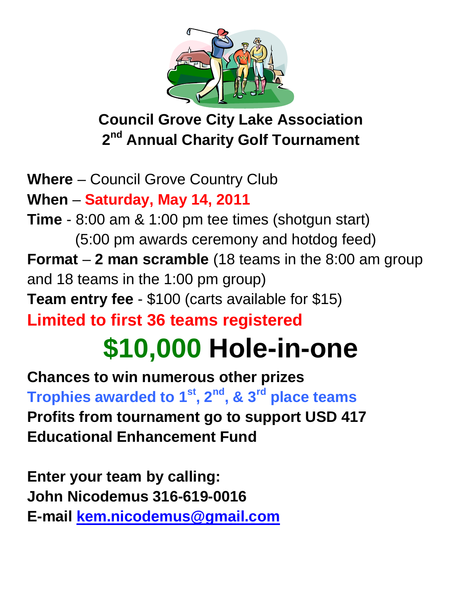

# **Council Grove City Lake Association 2nd Annual Charity Golf Tournament**

**Where** – Council Grove Country Club **When** – **Saturday, May 14, 2011 Time** - 8:00 am & 1:00 pm tee times (shotgun start) (5:00 pm awards ceremony and hotdog feed) **Format** – **2 man scramble** (18 teams in the 8:00 am group and 18 teams in the 1:00 pm group) **Team entry fee** - \$100 (carts available for \$15) **Limited to first 36 teams registered \$10,000 Hole-in-one**

**Chances to win numerous other prizes Trophies awarded to 1st, 2nd, & 3rd place teams Profits from tournament go to support USD 417 Educational Enhancement Fund**

**Enter your team by calling: John Nicodemus 316-619-0016 E-mail [kem.nicodemus@gmail.com](mailto:kem.nicodemus@gmail.com)**